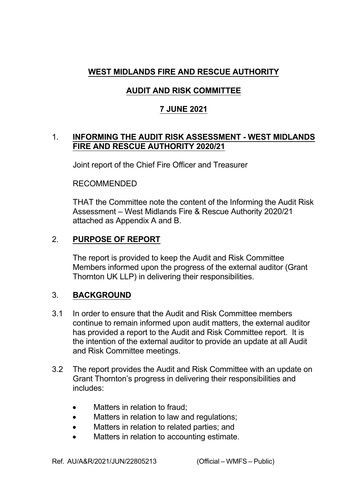# **WEST MIDLANDS FIRE AND RESCUE AUTHORITY**

# **AUDIT AND RISK COMMITTEE**

## **7 JUNE 2021**

#### 1. **INFORMING THE AUDIT RISK ASSESSMENT WEST MIDLANDS FIRE AND RESCUE AUTHORITY 2020/21**

Joint report of the Chief Fire Officer and Treasurer

#### RECOMMENDED

THAT the Committee note the content of the Informing the Audit Risk Assessment – West Midlands Fire & Rescue Authority 2020/21 attached as Appendix A and B.

## 2. **PURPOSE OF REPORT**

The report is provided to keep the Audit and Risk Committee Members informed upon the progress of the external auditor (Grant Thornton UK LLP) in delivering their responsibilities.

#### 3. **BACKGROUND**

- 3.1 In order to ensure that the Audit and Risk Committee members continue to remain informed upon audit matters, the external auditor has provided a report to the Audit and Risk Committee report. It is the intention of the external auditor to provide an update at all Audit and Risk Committee meetings.
- 3.2 The report provides the Audit and Risk Committee with an update on Grant Thornton's progress in delivering their responsibilities and includes:
	- Matters in relation to fraud:
	- Matters in relation to law and regulations;
	- Matters in relation to related parties; and
	- Matters in relation to accounting estimate.